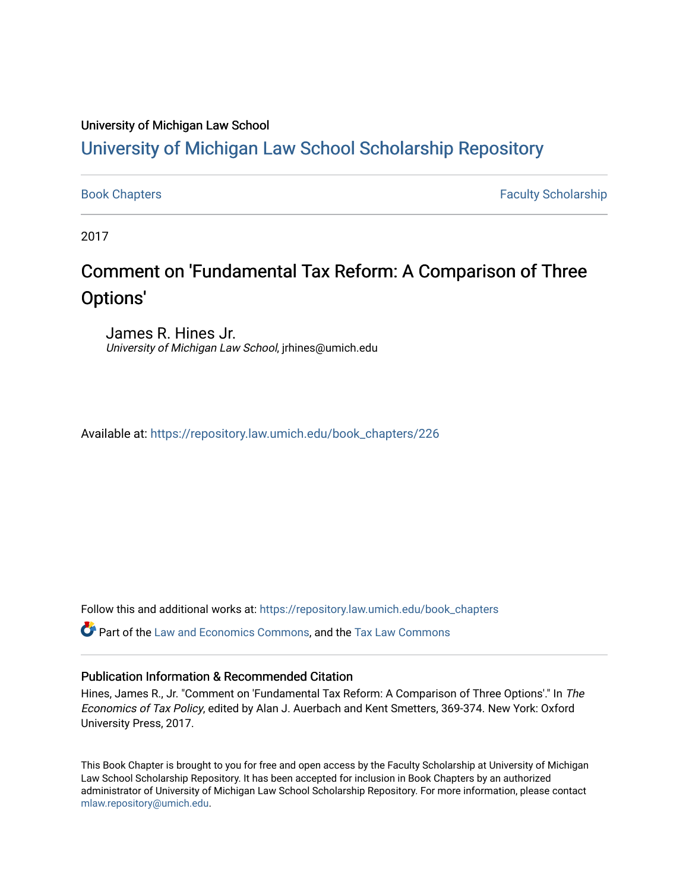#### University of Michigan Law School

## [University of Michigan Law School Scholarship Repository](https://repository.law.umich.edu/)

[Book Chapters](https://repository.law.umich.edu/book_chapters) Faculty Scholarship

2017

# Comment on 'Fundamental Tax Reform: A Comparison of Three Options'

James R. Hines Jr. University of Michigan Law School, jrhines@umich.edu

Available at: [https://repository.law.umich.edu/book\\_chapters/226](https://repository.law.umich.edu/book_chapters/226) 

Follow this and additional works at: [https://repository.law.umich.edu/book\\_chapters](https://repository.law.umich.edu/book_chapters?utm_source=repository.law.umich.edu%2Fbook_chapters%2F226&utm_medium=PDF&utm_campaign=PDFCoverPages)

**P** Part of the [Law and Economics Commons](http://network.bepress.com/hgg/discipline/612?utm_source=repository.law.umich.edu%2Fbook_chapters%2F226&utm_medium=PDF&utm_campaign=PDFCoverPages), and the [Tax Law Commons](http://network.bepress.com/hgg/discipline/898?utm_source=repository.law.umich.edu%2Fbook_chapters%2F226&utm_medium=PDF&utm_campaign=PDFCoverPages)

### Publication Information & Recommended Citation

Hines, James R., Jr. "Comment on 'Fundamental Tax Reform: A Comparison of Three Options'." In The Economics of Tax Policy, edited by Alan J. Auerbach and Kent Smetters, 369-374. New York: Oxford University Press, 2017.

This Book Chapter is brought to you for free and open access by the Faculty Scholarship at University of Michigan Law School Scholarship Repository. It has been accepted for inclusion in Book Chapters by an authorized administrator of University of Michigan Law School Scholarship Repository. For more information, please contact [mlaw.repository@umich.edu.](mailto:mlaw.repository@umich.edu)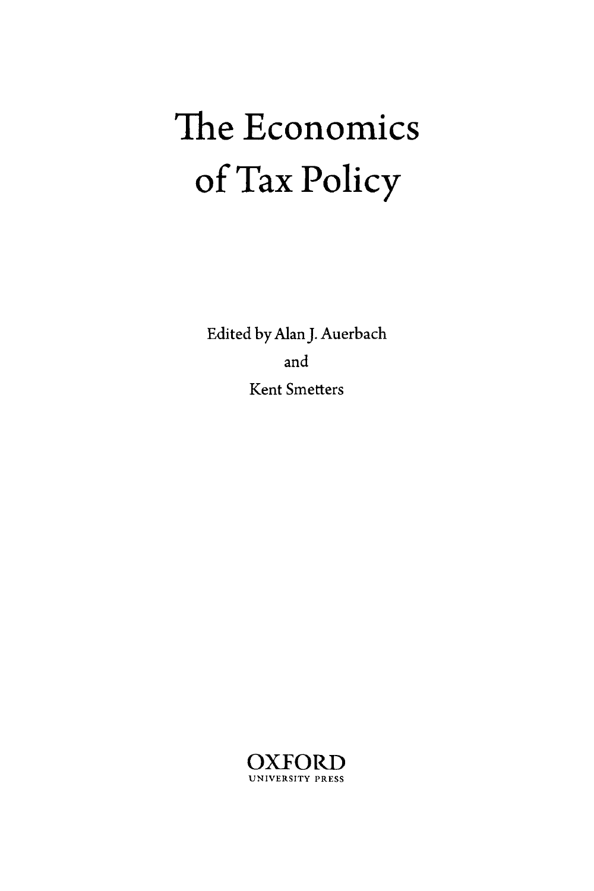# **The Economics of Tax Policy**

Edited by Alan J. Auerbach and Kent Smetters

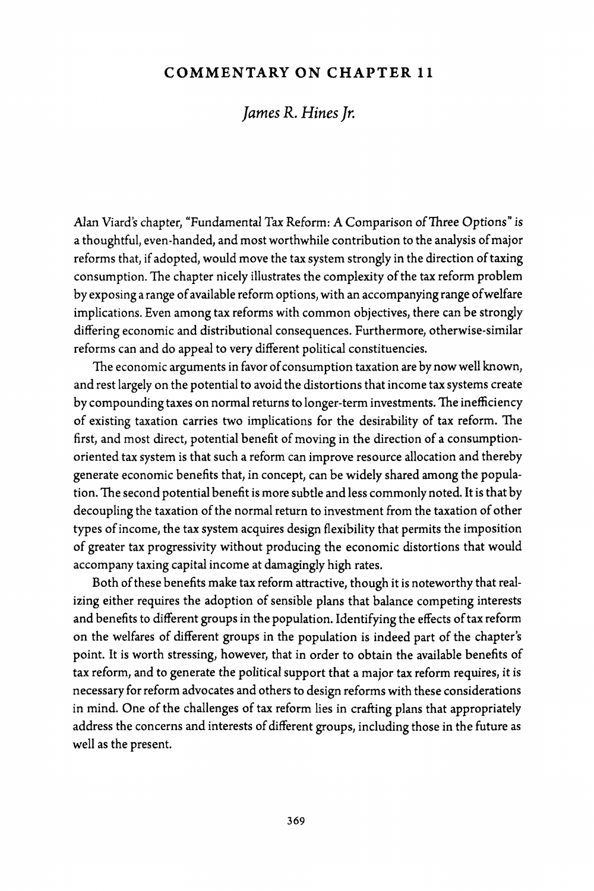#### **COMMENTARY ON CHAPTER 11**

#### *James R. Hines Jr.*

Alan Viard's chapter, "Fundamental Tax Reform: A Comparison of Three Options" is a thoughtful, even-handed, and most worthwhile contribution to the analysis of major reforms that, if adopted, would move the tax system strongly in the direction of taxing consumption. The chapter nicely illustrates the complexity of the tax reform problem by exposing a range of available reform options, with an accompanying range of welfare implications. Even among tax reforms with common objectives, there can be strongly differing economic and distributional consequences. Furthermore, otherwise-similar reforms can and do appeal to very different political constituencies.

The economic arguments in favor of consumption taxation are by now well known, and rest largely on the potential to avoid the distortions that income tax systems create by compounding taxes on normal returns to longer-term investments. The inefficiency of existing taxation carries two implications for the desirability of tax reform. The first, and most direct, potential benefit of moving in the direction of a consumptionoriented tax system is that such a reform can improve resource allocation and thereby generate economic benefits that, in concept, can be widely shared among the population. The second potential benefit is more subtle and less commonly noted. It is that by decoupling the taxation of the normal return to investment from the taxation of other types of income, the tax system acquires design flexibility that permits the imposition of greater tax progressivity without producing the economic distortions that would accompany taxing capital income at damagingly high rates.

Both of these benefits make tax reform attractive, though it is noteworthy that realizing either requires the adoption of sensible plans that balance competing interests and benefits to different groups in the population. Identifying the effects of tax reform on the welfares of different groups in the population is indeed part of the chapter's point. It is worth stressing, however, that in order to obtain the available benefits of tax reform, and to generate the political support that a major tax reform requires, it is necessary for reform advocates and others to design reforms with these considerations in mind. One of the challenges of tax reform lies in crafting plans that appropriately address the concerns and interests of different groups, including those in the future as well as the present.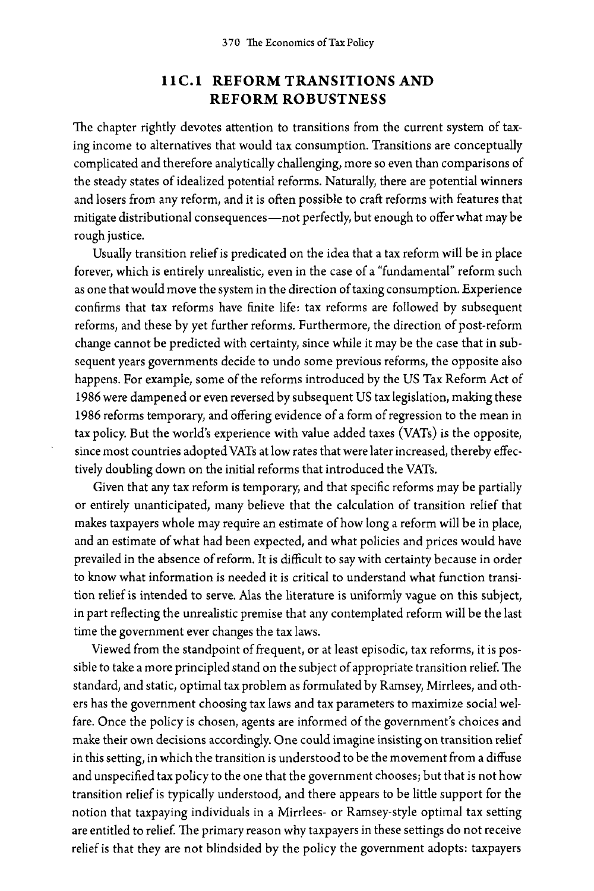#### **llC.1 REFORM TRANSITIONS AND REFORM ROBUSTNESS**

The chapter rightly devotes attention to transitions from the current system of taxing income to alternatives that would tax consumption. Transitions are conceptually complicated and therefore analytically challenging, more so even than comparisons of the steady states of idealized potential reforms. Naturally, there are potential winners and losers from any reform, and it is often possible to craft reforms with features that mitigate distributional consequences-not perfectly, but enough to offer what may be rough justice.

Usually transition relief is predicated on the idea that a tax reform will be in place forever, which is entirely unrealistic, even in the case of a "fundamental" reform such as one that would move the system in the direction of taxing consumption. Experience confirms that tax reforms have finite life: tax reforms are followed by subsequent reforms, and these by yet further reforms. Furthermore, the direction of post-reform change cannot be predicted with certainty, since while it may be the case that in subsequent years governments decide to undo some previous reforms, the opposite also happens. For example, some of the reforms introduced by the US Tax Reform Act of 1986 were dampened or even reversed by subsequent US tax legislation, making these 1986 reforms temporary, and offering evidence of a form of regression to the mean in tax policy. But the world's experience with value added taxes (VATs) is the opposite, since most countries adopted VATs at low rates that were later increased, thereby effectively doubling down on the initial reforms that introduced the VATs.

Given that any tax reform is temporary, and that specific reforms may be partially or entirely unanticipated, many believe that the calculation of transition relief that makes taxpayers whole may require an estimate of how long a reform will be in place, and an estimate of what had been expected, and what policies and prices would have prevailed in the absence of reform. It is difficult to say with certainty because in order to know what information is needed it is critical to understand what function transition relief is intended to serve. Alas the literature is uniformly vague on this subject, in part reflecting the unrealistic premise that any contemplated reform will be the last time the government ever changes the tax laws.

Viewed from the standpoint of frequent, or at least episodic, tax reforms, it is possible to take a more principled stand on the subject of appropriate transition relief. The standard, and static, optimal tax problem as formulated by Ramsey, Mirrlees, and others has the government choosing tax laws and tax parameters to maximize social welfare. Once the policy is chosen, agents are informed of the government's choices and make their own decisions accordingly. One could imagine insisting on transition relief in this setting, in which the transition is understood to be the movement from a diffuse and unspecified tax policy to the one that the government chooses; but that is not how transition relief is typically understood, and there appears to be little support for the notion that taxpaying individuals in a Mirrlees- or Ramsey-style optimal tax setting are entitled to relief. The primary reason why taxpayers in these settings do not receive relief is that they are not blindsided by the policy the government adopts: taxpayers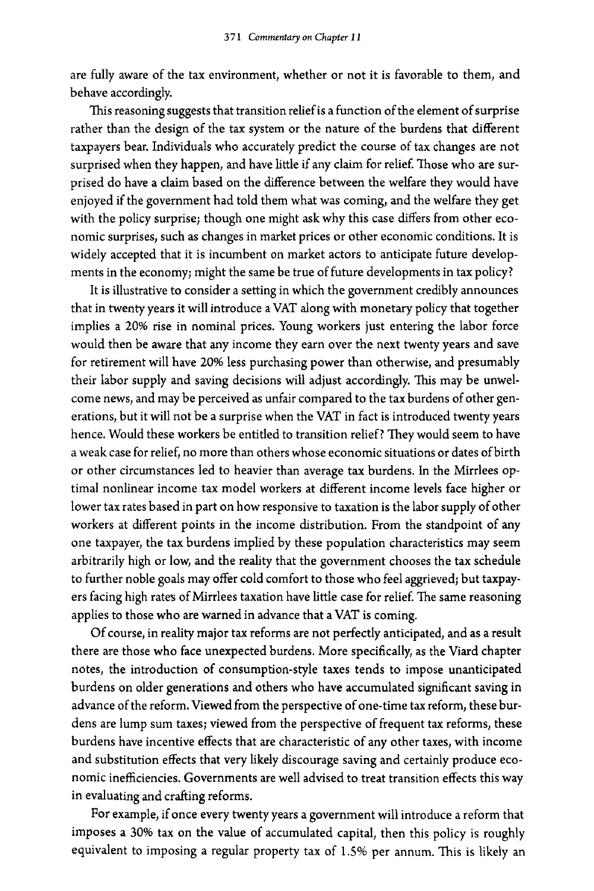are fully aware of the tax environment, whether or not it is favorable to them, and behave accordingly.

This reasoning suggests that transition relief is a function of the element of surprise rather than the design of the tax system or the nature of the burdens that different taxpayers bear. Individuals who accurately predict the course of tax changes are not surprised when they happen, and have little if any claim for relief. Those who are surprised do have a claim based on the difference between the welfare they would have enjoyed if the government had told them what was coming, and the welfare they get with the policy surprise; though one might ask why this case differs from other economic surprises, such as changes in market prices or other economic conditions. It is widely accepted that it is incumbent on market actors to anticipate future developments in the economy; might the same be true of future developments in tax policy?

It is illustrative to consider a setting in which the government credibly announces that in twenty years it will introduce a VAT along with monetary policy that together implies a 20% rise in nominal prices. Young workers just entering the labor force would then be aware that any income they earn over the next twenty years and save for retirement will have 20% less purchasing power than otherwise, and presumably their labor supply and saving decisions will adjust accordingly. This may be unwelcome news, and may be perceived as unfair compared to the tax burdens of other generations, but it will not be a surprise when the VAT in fact is introduced twenty years hence. Would these workers be entitled to transition relief? They would seem to have a weak case for relief, no more than others whose economic situations or dates of birth or other circumstances led to heavier than average tax burdens. In the Mirrlees optimal nonlinear income tax model workers at different income levels face higher or lower tax rates based in part on how responsive to taxation is the labor supply of other workers at different points in the income distribution. From the standpoint of any one taxpayer, the tax burdens implied by these population characteristics may seem arbitrarily high or low, and the reality that the government chooses the tax schedule to further noble goals may offer cold comfort to those who feel aggrieved; but taxpayers facing high rates of Mirrlees taxation have little case for relief. The same reasoning applies to those who are warned in advance that a VAT is coming.

Of course, in reality major tax reforms are not perfectly anticipated, and as a result there are those who face unexpected burdens. More specifically, as the Viard chapter notes, the introduction of consumption-style taxes tends to impose unanticipated burdens on older generations and others who have accumulated significant saving in advance of the reform. Viewed from the perspective of one-time tax reform, these burdens are lump sum taxes; viewed from the perspective of frequent tax reforms, these burdens have incentive effects that are characteristic of any other taxes, with income and substitution effects that very likely discourage saving and certainly produce economic inefficiencies. Governments are well advised to treat transition effects this way in evaluating and crafting reforms.

For example, if once every twenty years a government will introduce a reform that imposes a 30% tax on the value of accumulated capital, then this policy is roughly equivalent to imposing a regular property tax of 1.5% per annum. This is likely an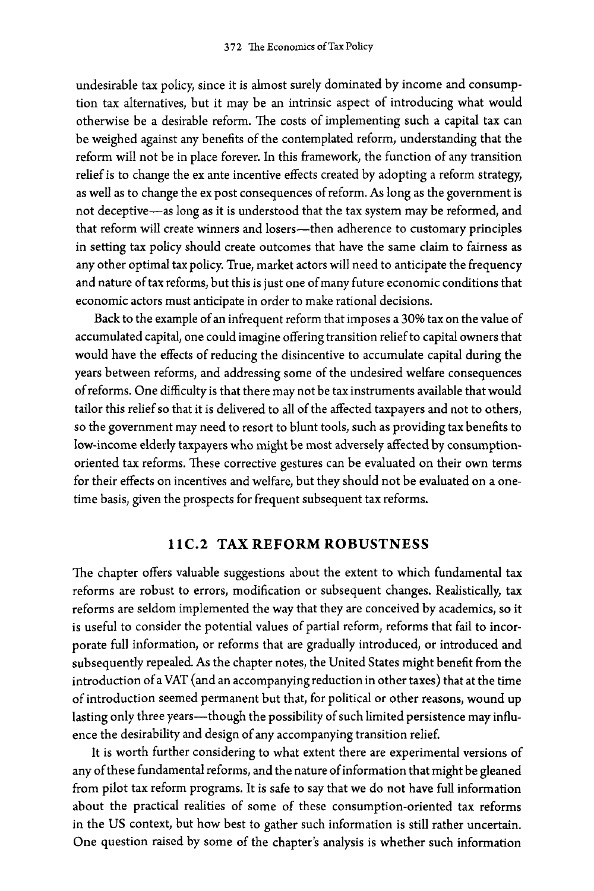undesirable tax policy, since it is almost surely dominated by income and consumption tax alternatives, but it may be an intrinsic aspect of introducing what would otherwise be a desirable reform. The costs of implementing such a capital tax can be weighed against any benefits of the contemplated reform, understanding that the reform will not be in place forever. In this framework, the function of any transition relief is to change the ex ante incentive effects created by adopting a reform strategy, as well as to change the ex post consequences of reform. As long as the government is not deceptive-as long as it is understood that the tax system may be reformed, and that reform will create winners and losers-then adherence to customary principles in setting tax policy should create outcomes that have the same claim to fairness as any other optimal tax policy. True, market actors will need to anticipate the frequency and nature of tax reforms, but this is just one of many future economic conditions that economic actors must anticipate in order to make rational decisions.

Back to the example of an infrequent reform that imposes a 30% tax on the value of accumulated capital, one could imagine offering transition relief to capital owners that would have the effects of reducing the disincentive to accumulate capital during the years between reforms, and addressing some of the undesired welfare consequences of reforms. One difficulty is that there may not be tax instruments available that would tailor this relief so that it is delivered to all of the affected taxpayers and not to others, so the government may need to resort to blunt tools, such as providing tax benefits to low-income elderly taxpayers who might be most adversely affected by consumptionoriented tax reforms. These corrective gestures can be evaluated on their own terms for their effects on incentives and welfare, but they should not be evaluated on a onetime basis, given the prospects for frequent subsequent tax reforms.

#### **llC.2 TAX REFORM ROBUSTNESS**

The chapter offers valuable suggestions about the extent to which fundamental tax reforms are robust to errors, modification or subsequent changes. Realistically, tax reforms are seldom implemented the way that they are conceived by academics, so it is useful to consider the potential values of partial reform, reforms that fail to incorporate full information, or reforms that are gradually introduced, or introduced and subsequently repealed. As the chapter notes, the United States might benefit from the introduction of a VAT ( and an accompanying reduction in other taxes) that at the time of introduction seemed permanent but that, for political or other reasons, wound up lasting only three years-though the possibility of such limited persistence may influence the desirability and design of any accompanying transition relief.

It is worth further considering to what extent there are experimental versions of any of these fundamental reforms, and the nature of information that might be gleaned from pilot tax reform programs. It is safe to say that we do not have full information about the practical realities of some of these consumption-oriented tax reforms in the US context, but how best to gather such information is still rather uncertain. One question raised by some of the chapter's analysis is whether such information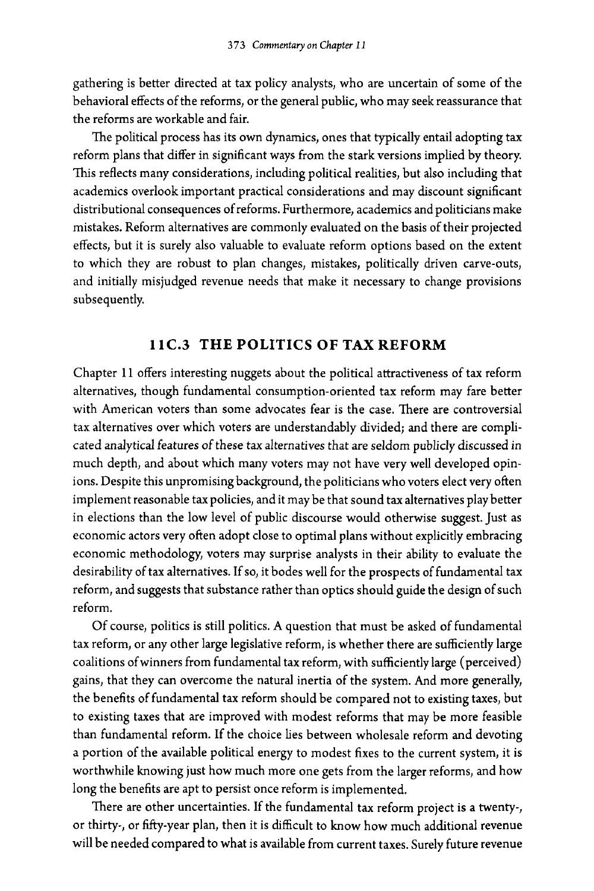gathering is better directed at tax policy analysts, who are uncertain of some of the behavioral effects of the reforms, or the general public, who may seek reassurance that the reforms are workable and fair.

The political process has its own dynamics, ones that typically entail adopting tax reform plans that differ in significant ways from the stark versions implied by theory. This reflects many considerations, including political realities, but also including that academics overlook important practical considerations and may discount significant distributional consequences of reforms. Furthermore, academics and politicians make mistakes. Reform alternatives are commonly evaluated on the basis of their projected effects, but it is surely also valuable to evaluate reform options based on the extent to which they are robust to plan changes, mistakes, politically driven carve-outs, and initially misjudged revenue needs that make it necessary to change provisions subsequently.

#### **l IC.3 THE POLITICS OF TAX REFORM**

Chapter 11 offers interesting nuggets about the political attractiveness of tax reform alternatives, though fundamental consumption-oriented tax reform may fare better with American voters than some advocates fear is the case. There are controversial tax alternatives over which voters are understandably divided; and there are complicated analytical features of these tax alternatives that are seldom publicly discussed in much depth, and about which many voters may not have very well developed opinions. Despite this unpromising background, the politicians who voters elect very often implement reasonable tax policies, and it may be that sound tax alternatives play better in elections than the low level of public discourse would otherwise suggest. Just as economic actors very often adopt close to optimal plans without explicitly embracing economic methodology, voters may surprise analysts in their ability to evaluate the desirability of tax alternatives. If so, it bodes well for the prospects of fundamental tax reform, and suggests that substance rather than optics should guide the design of such reform.

Of course, politics is still politics. A question that must be asked of fundamental tax reform, or any other large legislative reform, is whether there are sufficiently large coalitions of winners from fundamental tax reform, with sufficiently large (perceived) gains, that they can overcome the natural inertia of the system. And more generally, the benefits of fundamental tax reform should be compared not to existing taxes, but to existing taxes that are improved with modest reforms that may be more feasible than fundamental reform. If the choice lies between wholesale reform and devoting a portion of the available political energy to modest fixes to the current system, it is worthwhile knowing just how much more one gets from the larger reforms, and how long the benefits are apt to persist once reform is implemented.

There are other uncertainties. If the fundamental tax reform project is a twenty-, or thirty-, or fifty-year plan, then it is difficult to know how much additional revenue will be needed compared to what is available from current taxes. Surely future revenue